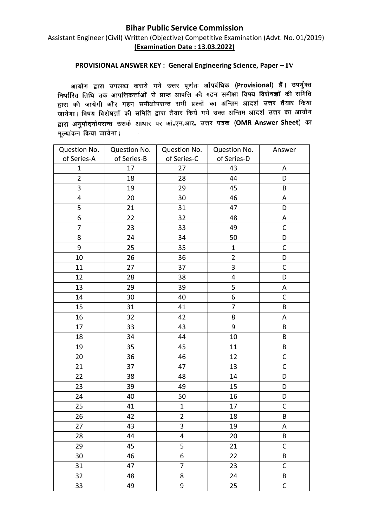## **Bihar Public Service Commission**

Assistant Engineer (Civil) Written (Objective) Competitive Examination (Advt. No. 01/2019) **(Examination Date : 13.03.2022)**

## **PROVISIONAL ANSWER KEY : General Engineering Science, Paper – IV**

आयोग द्वारा उपलब्ध कराये गये उत्तर पूर्णतः औपबंधिक (Provisional) हैं। उपर्युक्त निर्धारित तिथि तक आपत्तिकर्त्ताओं से प्राप्त आपत्ति की गहन समीक्षा विषय विशेषज्ञों की समिति द्वारा की जायेगी और गहन समीक्षोपरान्त सभी प्रश्नों का अन्तिम आदर्श उत्तर तैयार किया जायेगा। विषय विशेषज्ञों की समिति द्वारा तैयार किये गये उक्त अन्तिम आदर्श उत्तर का आयोग द्वारा अनुमोदनोपरान्त उसके आधार पर ओ.एम.आर. उत्तर पत्रक (OMR Answer Sheet) का मूल्यांकन किया जायेगा।

| Question No.            | Question No. | Question No.   | Question No.            | Answer       |
|-------------------------|--------------|----------------|-------------------------|--------------|
| of Series-A             | of Series-B  | of Series-C    | of Series-D             |              |
| $\mathbf 1$             | 17           | 27             | 43                      | A            |
| $\overline{2}$          | 18           | 28             | 44                      | D            |
| 3                       | 19           | 29             | 45                      | B            |
| $\overline{\mathbf{4}}$ | 20           | 30             | 46                      | Α            |
| 5                       | 21           | 31             | 47                      | D            |
| 6                       | 22           | 32             | 48                      | Α            |
| $\overline{7}$          | 23           | 33             | 49                      | $\mathsf{C}$ |
| 8                       | 24           | 34             | 50                      | D            |
| 9                       | 25           | 35             | $\mathbf{1}$            | $\mathsf C$  |
| 10                      | 26           | 36             | $\overline{2}$          | D            |
| 11                      | 27           | 37             | 3                       | $\mathsf C$  |
| 12                      | 28           | 38             | $\overline{\mathbf{4}}$ | D            |
| 13                      | 29           | 39             | 5                       | A            |
| 14                      | 30           | 40             | 6                       | $\mathsf C$  |
| 15                      | 31           | 41             | 7                       | B            |
| 16                      | 32           | 42             | 8                       | A            |
| 17                      | 33           | 43             | 9                       | B            |
| 18                      | 34           | 44             | 10                      | B            |
| 19                      | 35           | 45             | 11                      | B            |
| 20                      | 36           | 46             | 12                      | C            |
| 21                      | 37           | 47             | 13                      | $\mathsf C$  |
| 22                      | 38           | 48             | 14                      | D            |
| 23                      | 39           | 49             | 15                      | D            |
| 24                      | 40           | 50             | 16                      | D            |
| 25                      | 41           | $\mathbf{1}$   | 17                      | $\mathsf C$  |
| 26                      | 42           | $\overline{2}$ | 18                      | $\sf{B}$     |
| 27                      | 43           | 3              | 19                      | A            |
| 28                      | 44           | 4              | 20                      | B            |
| 29                      | 45           | 5              | 21                      | $\mathsf C$  |
| 30                      | 46           | 6              | 22                      | B            |
| 31                      | 47           | $\overline{7}$ | 23                      | $\mathsf C$  |
| 32                      | 48           | 8              | 24                      | B            |
| 33                      | 49           | 9              | 25                      | $\mathsf C$  |